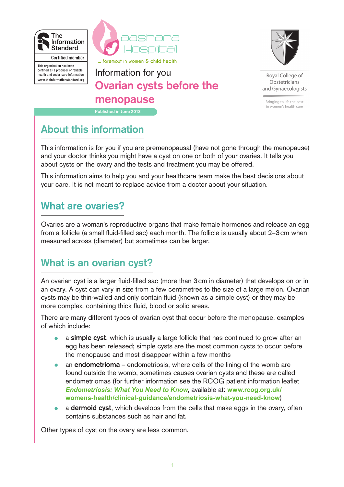



... foremost in women & child health

This organisation has been certified as a producer of reliable health and social care information. www.theinformationstandard.org

### **Published in June 2013** Information for you **Ovarian cysts before the menopause**



Royal College of Obstetricians and Gynaecologists

Bringing to life the best in women's health care

## **About this information**

This information is for you if you are premenopausal (have not gone through the menopause) and your doctor thinks you might have a cyst on one or both of your ovaries. It tells you about cysts on the ovary and the tests and treatment you may be offered.

This information aims to help you and your healthcare team make the best decisions about your care. It is not meant to replace advice from a doctor about your situation.

### **What are ovaries?**

Ovaries are a woman's reproductive organs that make female hormones and release an egg from a follicle (a small fluid-filled sac) each month. The follicle is usually about 2–3 cm when measured across (diameter) but sometimes can be larger.

# **What is an ovarian cyst?**

An ovarian cyst is a larger fluid-filled sac (more than 3 cm in diameter) that develops on or in an ovary. A cyst can vary in size from a few centimetres to the size of a large melon. Ovarian cysts may be thin-walled and only contain fluid (known as a simple cyst) or they may be more complex, containing thick fluid, blood or solid areas.

There are many different types of ovarian cyst that occur before the menopause, examples of which include:

- a **simple cyst**, which is usually a large follicle that has continued to grow after an egg has been released; simple cysts are the most common cysts to occur before the menopause and most disappear within a few months
- an **endometrioma** endometriosis, where cells of the lining of the womb are found outside the womb, sometimes causes ovarian cysts and these are called endometriomas (for further information see the RCOG patient information leaflet *[Endometriosis: What You Need to Know](http://www.rcog.org.uk/womens-health/clinical-guidance/endometriosis-what-you-need-know)*, available at: **[www.rcog.org.uk/](http://www.rcog.org.uk/womens-health/clinical-guidance/endometriosis-what-you-need-know) [womens-health/clinical-guidance/endometriosis-what-you-need-know](http://www.rcog.org.uk/womens-health/clinical-guidance/endometriosis-what-you-need-know)**)
- a **dermoid cyst**, which develops from the cells that make eggs in the ovary, often contains substances such as hair and fat.

Other types of cyst on the ovary are less common.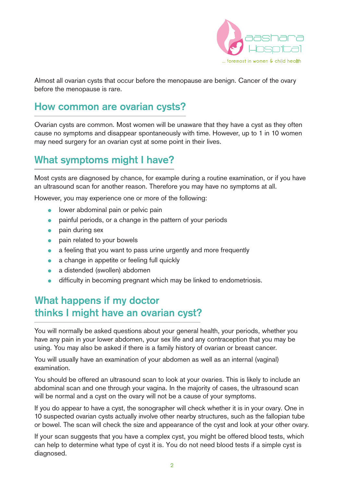

Almost all ovarian cysts that occur before the menopause are benign. Cancer of the ovary before the menopause is rare.

#### **How common are ovarian cysts?**

Ovarian cysts are common. Most women will be unaware that they have a cyst as they often cause no symptoms and disappear spontaneously with time. However, up to 1 in 10 women may need surgery for an ovarian cyst at some point in their lives.

## **What symptoms might I have?**

Most cysts are diagnosed by chance, for example during a routine examination, or if you have an ultrasound scan for another reason. Therefore you may have no symptoms at all.

However, you may experience one or more of the following:

- lower abdominal pain or pelvic pain
- painful periods, or a change in the pattern of your periods
- pain during sex
- pain related to your bowels
- a feeling that you want to pass urine urgently and more frequently
- a change in appetite or feeling full quickly
- a distended (swollen) abdomen
- difficulty in becoming pregnant which may be linked to endometriosis.

#### **What happens if my doctor thinks I might have an ovarian cyst?**

You will normally be asked questions about your general health, your periods, whether you have any pain in your lower abdomen, your sex life and any contraception that you may be using. You may also be asked if there is a family history of ovarian or breast cancer.

You will usually have an examination of your abdomen as well as an internal (vaginal) examination.

You should be offered an ultrasound scan to look at your ovaries. This is likely to include an abdominal scan and one through your vagina. In the majority of cases, the ultrasound scan will be normal and a cyst on the ovary will not be a cause of your symptoms.

If you do appear to have a cyst, the sonographer will check whether it is in your ovary. One in 10 suspected ovarian cysts actually involve other nearby structures, such as the fallopian tube or bowel. The scan will check the size and appearance of the cyst and look at your other ovary.

If your scan suggests that you have a complex cyst, you might be offered blood tests, which can help to determine what type of cyst it is. You do not need blood tests if a simple cyst is diagnosed.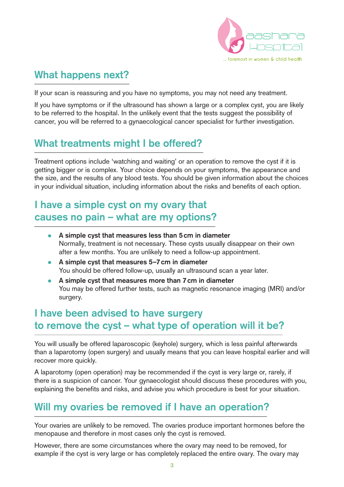

## **What happens next?**

If your scan is reassuring and you have no symptoms, you may not need any treatment.

If you have symptoms or if the ultrasound has shown a large or a complex cyst, you are likely to be referred to the hospital. In the unlikely event that the tests suggest the possibility of cancer, you will be referred to a gynaecological cancer specialist for further investigation.

## **What treatments might I be offered?**

Treatment options include 'watching and waiting' or an operation to remove the cyst if it is getting bigger or is complex. Your choice depends on your symptoms, the appearance and the size, and the results of any blood tests. You should be given information about the choices in your individual situation, including information about the risks and benefits of each option.

## **I have a simple cyst on my ovary that causes no pain – what are my options?**

- **A simple cyst that measures less than 5cm in diameter** Normally, treatment is not necessary. These cysts usually disappear on their own after a few months. You are unlikely to need a follow-up appointment.
- **A simple cyst that measures 5–7cm in diameter** You should be offered follow-up, usually an ultrasound scan a year later.
- **A simple cyst that measures more than 7cm in diameter** You may be offered further tests, such as magnetic resonance imaging (MRI) and/or surgery.

## **I have been advised to have surgery to remove the cyst – what type of operation will it be?**

You will usually be offered laparoscopic (keyhole) surgery, which is less painful afterwards than a laparotomy (open surgery) and usually means that you can leave hospital earlier and will recover more quickly.

A laparotomy (open operation) may be recommended if the cyst is very large or, rarely, if there is a suspicion of cancer. Your gynaecologist should discuss these procedures with you, explaining the benefits and risks, and advise you which procedure is best for your situation.

### **Will my ovaries be removed if I have an operation?**

Your ovaries are unlikely to be removed. The ovaries produce important hormones before the menopause and therefore in most cases only the cyst is removed.

However, there are some circumstances where the ovary may need to be removed, for example if the cyst is very large or has completely replaced the entire ovary. The ovary may